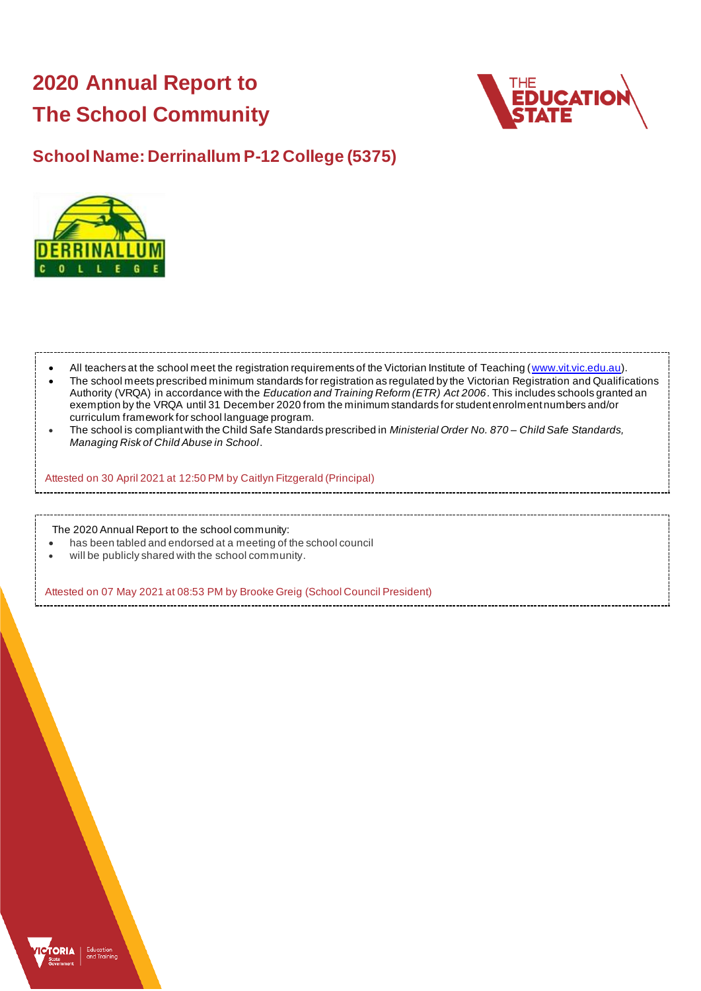# **2020 Annual Report to The School Community**



## **School Name: Derrinallum P-12 College (5375)**



| $\bullet$<br>$\bullet$ | All teachers at the school meet the registration requirements of the Victorian Institute of Teaching (www.vit.vic.edu.au).<br>The school meets prescribed minimum standards for registration as regulated by the Victorian Registration and Qualifications<br>Authority (VRQA) in accordance with the Education and Training Reform (ETR) Act 2006. This includes schools granted an<br>exemption by the VRQA until 31 December 2020 from the minimum standards for student enrolment numbers and/or<br>curriculum framework for school language program.<br>The school is compliant with the Child Safe Standards prescribed in <i>Ministerial Order No. 870– Child Safe Standards</i> ,<br>Managing Risk of Child Abuse in School. |
|------------------------|--------------------------------------------------------------------------------------------------------------------------------------------------------------------------------------------------------------------------------------------------------------------------------------------------------------------------------------------------------------------------------------------------------------------------------------------------------------------------------------------------------------------------------------------------------------------------------------------------------------------------------------------------------------------------------------------------------------------------------------|
|                        | Attested on 30 April 2021 at 12:50 PM by Caitlyn Fitzgerald (Principal)                                                                                                                                                                                                                                                                                                                                                                                                                                                                                                                                                                                                                                                              |
|                        | The 2020 Annual Report to the school community:<br>has been tabled and endorsed at a meeting of the school council<br>and Hills and a substitution of the constitution of the constant in the constant of the constant of                                                                                                                                                                                                                                                                                                                                                                                                                                                                                                            |

will be publicly shared with the school community.

Attested on 07 May 2021 at 08:53 PM by Brooke Greig (School Council President)

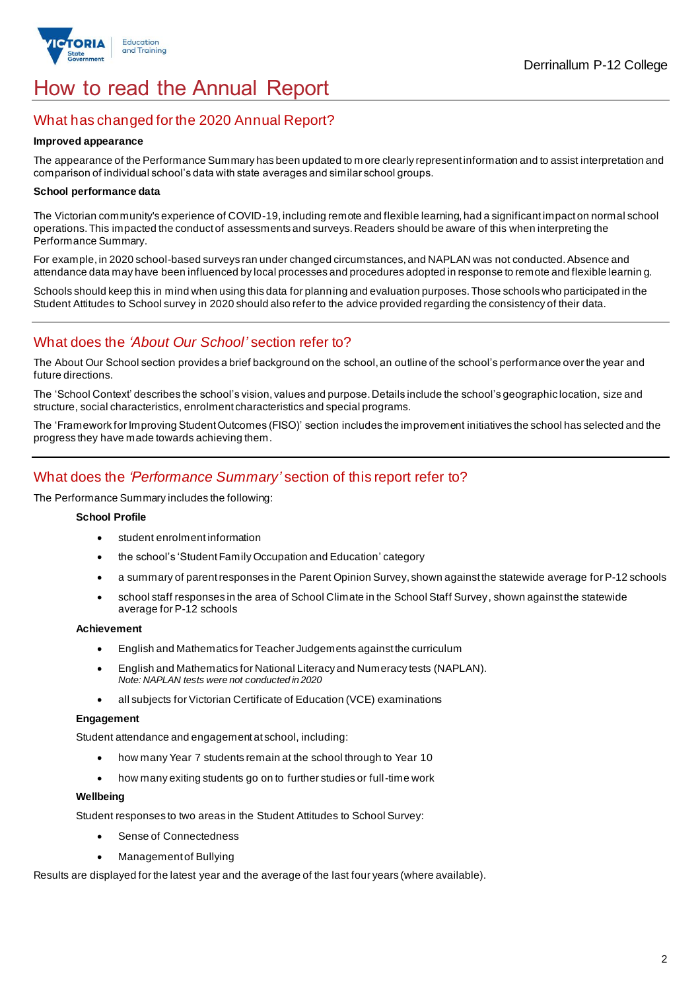

## How to read the Annual Report

## What has changed for the 2020 Annual Report?

#### **Improved appearance**

The appearance of the Performance Summary has been updated to m ore clearly represent information and to assist interpretation and comparison of individual school's data with state averages and similar school groups.

#### **School performance data**

The Victorian community's experience of COVID-19, including remote and flexible learning, had a significant impact on normal school operations. This impacted the conduct of assessments and surveys. Readers should be aware of this when interpreting the Performance Summary.

For example, in 2020 school-based surveys ran under changed circumstances, and NAPLAN was not conducted. Absence and attendance data may have been influenced by local processes and procedures adopted in response to remote and flexible learnin g.

Schools should keep this in mind when using this data for planning and evaluation purposes. Those schools who participated in the Student Attitudes to School survey in 2020 should also refer to the advice provided regarding the consistency of their data.

## What does the *'About Our School'* section refer to?

The About Our School section provides a brief background on the school, an outline of the school's performance over the year and future directions.

The 'School Context' describes the school's vision, values and purpose. Details include the school's geographic location, size and structure, social characteristics, enrolment characteristics and special programs.

The 'Framework for Improving Student Outcomes (FISO)' section includes the improvement initiatives the school has selected and the progress they have made towards achieving them.

## What does the *'Performance Summary'* section of this report refer to?

The Performance Summary includes the following:

#### **School Profile**

- student enrolment information
- the school's 'Student Family Occupation and Education' category
- a summary of parent responses in the Parent Opinion Survey, shown against the statewide average for P-12 schools
- school staff responses in the area of School Climate in the School Staff Survey, shown against the statewide average for P-12 schools

#### **Achievement**

- English and Mathematics for Teacher Judgements against the curriculum
- English and Mathematics for National Literacy and Numeracy tests (NAPLAN). *Note: NAPLAN tests were not conducted in 2020*
- all subjects for Victorian Certificate of Education (VCE) examinations

#### **Engagement**

Student attendance and engagement at school, including:

- how many Year 7 students remain at the school through to Year 10
- how many exiting students go on to further studies or full-time work

#### **Wellbeing**

Student responses to two areas in the Student Attitudes to School Survey:

- Sense of Connectedness
- Management of Bullying

Results are displayed for the latest year and the average of the last four years (where available).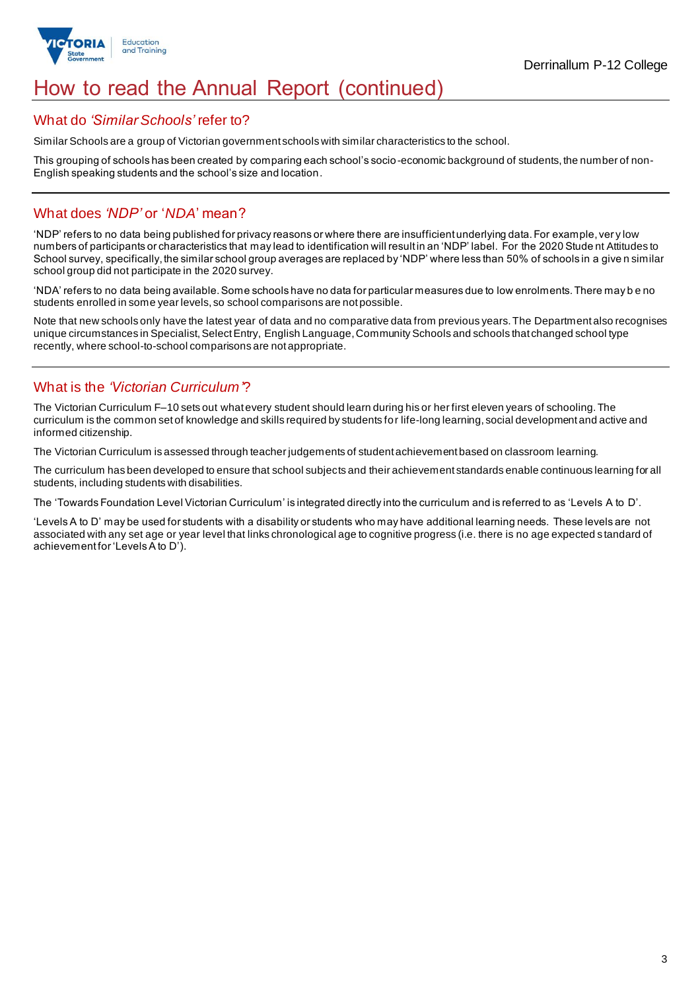

## How to read the Annual Report (continued)

### What do *'Similar Schools'* refer to?

Similar Schools are a group of Victorian government schools with similar characteristics to the school.

This grouping of schools has been created by comparing each school's socio-economic background of students, the number of non-English speaking students and the school's size and location.

## What does *'NDP'* or '*NDA*' mean?

'NDP' refers to no data being published for privacy reasons or where there are insufficient underlying data. For example, ver y low numbers of participants or characteristics that may lead to identification will result in an 'NDP' label. For the 2020 Stude nt Attitudes to School survey, specifically, the similar school group averages are replaced by 'NDP' where less than 50% of schools in a give n similar school group did not participate in the 2020 survey.

'NDA' refers to no data being available. Some schools have no data for particular measures due to low enrolments. There may b e no students enrolled in some year levels, so school comparisons are not possible.

Note that new schools only have the latest year of data and no comparative data from previous years. The Department also recognises unique circumstances in Specialist, Select Entry, English Language, Community Schools and schools that changed school type recently, where school-to-school comparisons are not appropriate.

## What is the *'Victorian Curriculum'*?

The Victorian Curriculum F–10 sets out what every student should learn during his or her first eleven years of schooling. The curriculum is the common set of knowledge and skills required by students for life-long learning, social development and active and informed citizenship.

The Victorian Curriculum is assessed through teacher judgements of student achievement based on classroom learning.

The curriculum has been developed to ensure that school subjects and their achievement standards enable continuous learning for all students, including students with disabilities.

The 'Towards Foundation Level Victorian Curriculum' is integrated directly into the curriculum and is referred to as 'Levels A to D'.

'Levels A to D' may be used for students with a disability or students who may have additional learning needs. These levels are not associated with any set age or year level that links chronological age to cognitive progress (i.e. there is no age expected s tandard of achievement for 'Levels A to D').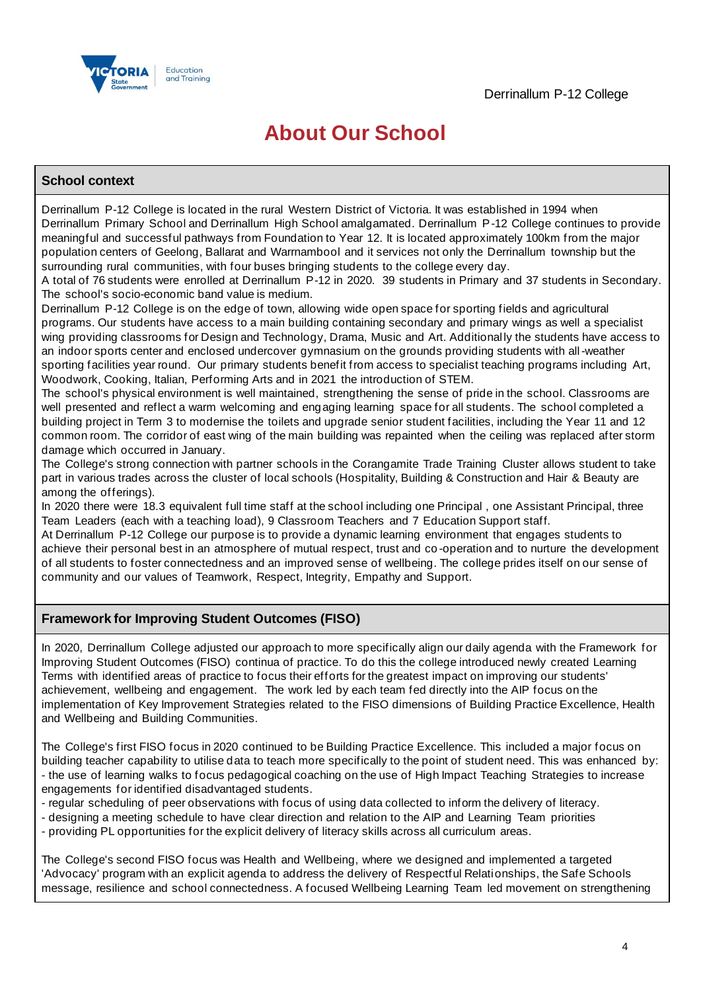

## **About Our School**

#### **School context**

Derrinallum P-12 College is located in the rural Western District of Victoria. It was established in 1994 when Derrinallum Primary School and Derrinallum High School amalgamated. Derrinallum P-12 College continues to provide meaningful and successful pathways from Foundation to Year 12. It is located approximately 100km from the major population centers of Geelong, Ballarat and Warrnambool and it services not only the Derrinallum township but the surrounding rural communities, with four buses bringing students to the college every day.

A total of 76 students were enrolled at Derrinallum P-12 in 2020. 39 students in Primary and 37 students in Secondary. The school's socio-economic band value is medium.

Derrinallum P-12 College is on the edge of town, allowing wide open space for sporting fields and agricultural programs. Our students have access to a main building containing secondary and primary wings as well a specialist wing providing classrooms for Design and Technology, Drama, Music and Art. Additional ly the students have access to an indoor sports center and enclosed undercover gymnasium on the grounds providing students with all-weather sporting facilities year round. Our primary students benefit from access to specialist teaching programs including Art, Woodwork, Cooking, Italian, Performing Arts and in 2021 the introduction of STEM.

The school's physical environment is well maintained, strengthening the sense of pride in the school. Classrooms are well presented and reflect a warm welcoming and engaging learning space for all students. The school completed a building project in Term 3 to modernise the toilets and upgrade senior student facilities, including the Year 11 and 12 common room. The corridor of east wing of the main building was repainted when the ceiling was replaced after storm damage which occurred in January.

The College's strong connection with partner schools in the Corangamite Trade Training Cluster allows student to take part in various trades across the cluster of local schools (Hospitality, Building & Construction and Hair & Beauty are among the offerings).

In 2020 there were 18.3 equivalent full time staff at the school including one Principal , one Assistant Principal, three Team Leaders (each with a teaching load), 9 Classroom Teachers and 7 Education Support staff.

At Derrinallum P-12 College our purpose is to provide a dynamic learning environment that engages students to achieve their personal best in an atmosphere of mutual respect, trust and co -operation and to nurture the development of all students to foster connectedness and an improved sense of wellbeing. The college prides itself on our sense of community and our values of Teamwork, Respect, Integrity, Empathy and Support.

### **Framework for Improving Student Outcomes (FISO)**

In 2020, Derrinallum College adjusted our approach to more specifically align our daily agenda with the Framework for Improving Student Outcomes (FISO) continua of practice. To do this the college introduced newly created Learning Terms with identified areas of practice to focus their efforts for the greatest impact on improving our students' achievement, wellbeing and engagement. The work led by each team fed directly into the AIP focus on the implementation of Key Improvement Strategies related to the FISO dimensions of Building Practice Excellence, Health and Wellbeing and Building Communities.

The College's first FISO focus in 2020 continued to be Building Practice Excellence. This included a major focus on building teacher capability to utilise data to teach more specifically to the point of student need. This was enhanced by: - the use of learning walks to focus pedagogical coaching on the use of High Impact Teaching Strategies to increase engagements for identified disadvantaged students.

- regular scheduling of peer observations with focus of using data collected to inform the delivery of literacy.
- designing a meeting schedule to have clear direction and relation to the AIP and Learning Team priorities
- providing PL opportunities for the explicit delivery of literacy skills across all curriculum areas.

The College's second FISO focus was Health and Wellbeing, where we designed and implemented a targeted 'Advocacy' program with an explicit agenda to address the delivery of Respectful Relationships, the Safe Schools message, resilience and school connectedness. A focused Wellbeing Learning Team led movement on strengthening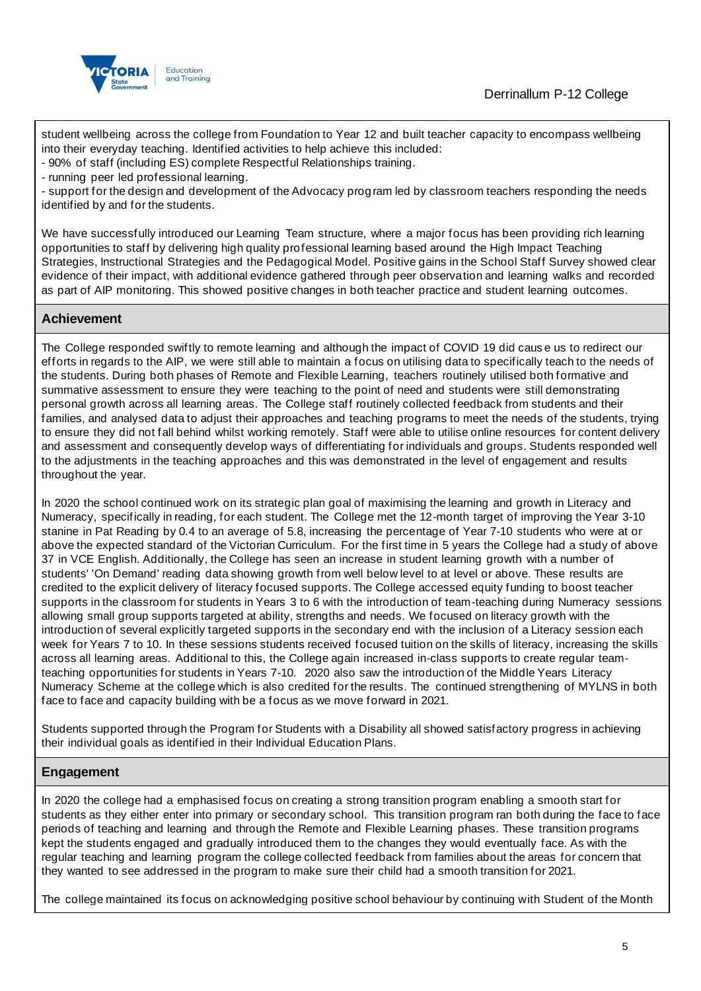

student wellbeing across the college from Foundation to Year 12 and built teacher capacity to encompass wellbeing into their everyday teaching. Identified activities to help achieve this included:

- 90% of staff (including ES) complete Respectful Relationships training.

- running peer led professional learning.

- support for the design and development of the Advocacy program led by classroom teachers responding the needs identified by and for the students.

We have successfully introduced our Learning Team structure, where a major focus has been providing rich learning opportunities to staff by delivering high quality professional learning based around the High Impact Teaching Strategies, Instructional Strategies and the Pedagogical Model. Positive gains in the School Staff Survey showed clear evidence of their impact, with additional evidence gathered through peer observation and learning walks and recorded as part of AIP monitoring. This showed positive changes in both teacher practice and student learning outcomes.

#### **Achievement**

The College responded swiftly to remote learning and although the impact of COVID 19 did caus e us to redirect our efforts in regards to the AIP, we were still able to maintain a focus on utilising data to specifically teach to the needs of the students. During both phases of Remote and Flexible Learning, teachers routinely utilised both formative and summative assessment to ensure they were teaching to the point of need and students were still demonstrating personal growth across all learning areas. The College staff routinely collected feedback from students and their families, and analysed data to adjust their approaches and teaching programs to meet the needs of the students, trying to ensure they did not fall behind whilst working remotely. Staff were able to utilise online resources for content delivery and assessment and consequently develop ways of differentiating for individuals and groups. Students responded well to the adjustments in the teaching approaches and this was demonstrated in the level of engagement and results throughout the year.

In 2020 the school continued work on its strategic plan goal of maximising the learning and growth in Literacy and Numeracy, specifically in reading, for each student. The College met the 12-month target of improving the Year 3-10 stanine in Pat Reading by 0.4 to an average of 5.8, increasing the percentage of Year 7-10 students who were at or above the expected standard of the Victorian Curriculum. For the first time in 5 years the College had a study of above 37 in VCE English. Additionally, the College has seen an increase in student learning growth with a number of students' 'On Demand' reading data showing growth from well below level to at level or above. These results are credited to the explicit delivery of literacy focused supports. The College accessed equity funding to boost teacher supports in the classroom for students in Years 3 to 6 with the introduction of team-teaching during Numeracy sessions allowing small group supports targeted at ability, strengths and needs. We focused on literacy growth with the introduction of several explicitly targeted supports in the secondary end with the inclusion of a Literacy session each week for Years 7 to 10. In these sessions students received focused tuition on the skills of literacy, increasing the skills across all learning areas. Additional to this, the College again increased in-class supports to create regular teamteaching opportunities for students in Years 7-10. 2020 also saw the introduction of the Middle Years Literacy Numeracy Scheme at the college which is also credited for the results. The continued strengthening of MYLNS in both face to face and capacity building with be a focus as we move forward in 2021.

Students supported through the Program for Students with a Disability all showed satisfactory progress in achieving their individual goals as identified in their Individual Education Plans.

### **Engagement**

In 2020 the college had a emphasised focus on creating a strong transition program enabling a smooth start for students as they either enter into primary or secondary school. This transition program ran both during the face to face periods of teaching and learning and through the Remote and Flexible Learning phases. These transition programs kept the students engaged and gradually introduced them to the changes they would eventually face. As with the regular teaching and learning program the college collected feedback from families about the areas for concern that they wanted to see addressed in the program to make sure their child had a smooth transition for 2021.

The college maintained its focus on acknowledging positive school behaviour by continuing with Student of the Month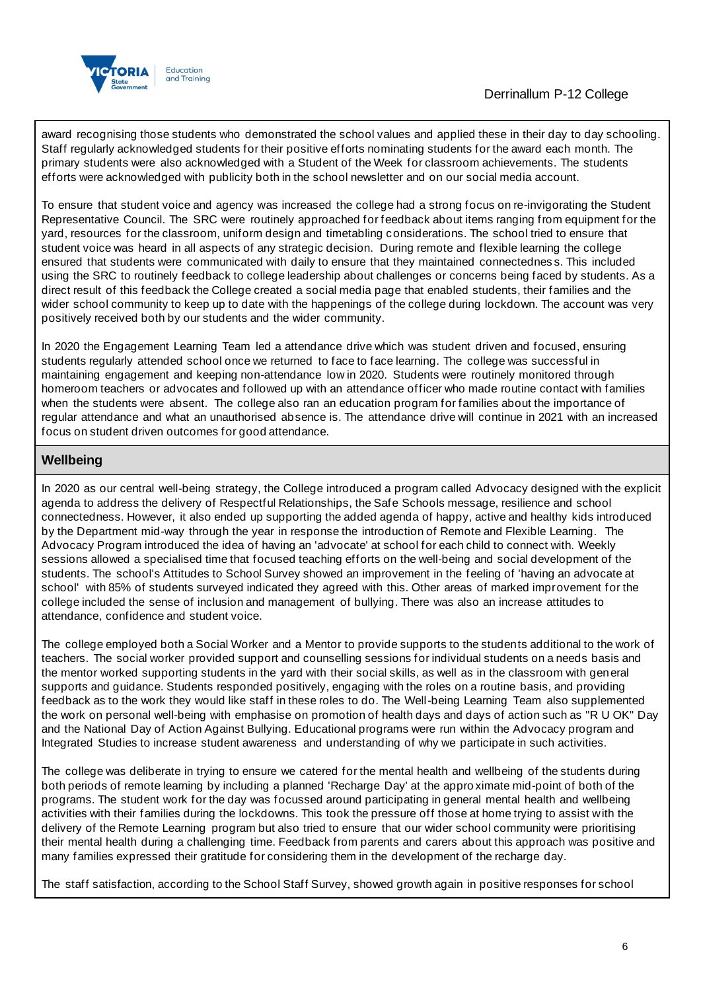

award recognising those students who demonstrated the school values and applied these in their day to day schooling. Staff regularly acknowledged students for their positive efforts nominating students for the award each month. The primary students were also acknowledged with a Student of the Week for classroom achievements. The students efforts were acknowledged with publicity both in the school newsletter and on our social media account.

To ensure that student voice and agency was increased the college had a strong focus on re-invigorating the Student Representative Council. The SRC were routinely approached for feedback about items ranging from equipment for the yard, resources for the classroom, uniform design and timetabling considerations. The school tried to ensure that student voice was heard in all aspects of any strategic decision. During remote and flexible learning the college ensured that students were communicated with daily to ensure that they maintained connectednes s. This included using the SRC to routinely feedback to college leadership about challenges or concerns being faced by students. As a direct result of this feedback the College created a social media page that enabled students, their families and the wider school community to keep up to date with the happenings of the college during lockdown. The account was very positively received both by our students and the wider community.

In 2020 the Engagement Learning Team led a attendance drive which was student driven and focused, ensuring students regularly attended school once we returned to face to face learning. The college was successful in maintaining engagement and keeping non-attendance low in 2020. Students were routinely monitored through homeroom teachers or advocates and followed up with an attendance officer who made routine contact with families when the students were absent. The college also ran an education program for families about the importance of regular attendance and what an unauthorised absence is. The attendance drive will continue in 2021 with an increased focus on student driven outcomes for good attendance.

## **Wellbeing**

In 2020 as our central well-being strategy, the College introduced a program called Advocacy designed with the explicit agenda to address the delivery of Respectful Relationships, the Safe Schools message, resilience and school connectedness. However, it also ended up supporting the added agenda of happy, active and healthy kids introduced by the Department mid-way through the year in response the introduction of Remote and Flexible Learning. The Advocacy Program introduced the idea of having an 'advocate' at school for each child to connect with. Weekly sessions allowed a specialised time that focused teaching efforts on the well-being and social development of the students. The school's Attitudes to School Survey showed an improvement in the feeling of 'having an advocate at school' with 85% of students surveyed indicated they agreed with this. Other areas of marked improvement for the college included the sense of inclusion and management of bullying. There was also an increase attitudes to attendance, confidence and student voice.

The college employed both a Social Worker and a Mentor to provide supports to the students additional to the work of teachers. The social worker provided support and counselling sessions for individual students on a needs basis and the mentor worked supporting students in the yard with their social skills, as well as in the classroom with general supports and guidance. Students responded positively, engaging with the roles on a routine basis, and providing feedback as to the work they would like staff in these roles to do. The Well-being Learning Team also supplemented the work on personal well-being with emphasise on promotion of health days and days of action such as "R U OK" Day and the National Day of Action Against Bullying. Educational programs were run within the Advocacy program and Integrated Studies to increase student awareness and understanding of why we participate in such activities.

The college was deliberate in trying to ensure we catered for the mental health and wellbeing of the students during both periods of remote learning by including a planned 'Recharge Day' at the appro ximate mid-point of both of the programs. The student work for the day was focussed around participating in general mental health and wellbeing activities with their families during the lockdowns. This took the pressure off those at home trying to assist with the delivery of the Remote Learning program but also tried to ensure that our wider school community were prioritising their mental health during a challenging time. Feedback from parents and carers about this approach was positive and many families expressed their gratitude for considering them in the development of the recharge day.

The staff satisfaction, according to the School Staff Survey, showed growth again in positive responses for school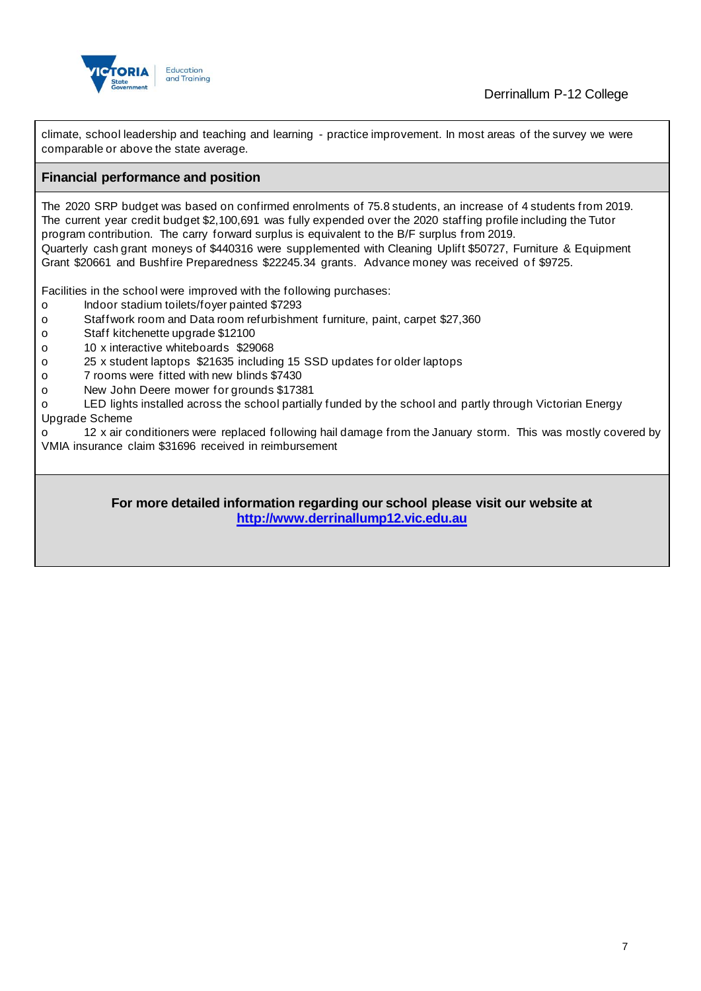

climate, school leadership and teaching and learning - practice improvement. In most areas of the survey we were comparable or above the state average.

#### **Financial performance and position**

The 2020 SRP budget was based on confirmed enrolments of 75.8 students, an increase of 4 students from 2019. The current year credit budget \$2,100,691 was fully expended over the 2020 staffing profile including the Tutor program contribution. The carry forward surplus is equivalent to the B/F surplus from 2019. Quarterly cash grant moneys of \$440316 were supplemented with Cleaning Uplift \$50727, Furniture & Equipment Grant \$20661 and Bushfire Preparedness \$22245.34 grants. Advance money was received of \$9725.

Facilities in the school were improved with the following purchases:

- o Indoor stadium toilets/foyer painted \$7293
- o Staffwork room and Data room refurbishment furniture, paint, carpet \$27,360
- o Staff kitchenette upgrade \$12100
- o 10 x interactive whiteboards \$29068
- o 25 x student laptops \$21635 including 15 SSD updates for older laptops
- o 7 rooms were fitted with new blinds \$7430
- o New John Deere mower for grounds \$17381

o LED lights installed across the school partially funded by the school and partly through Victorian Energy Upgrade Scheme

o 12 x air conditioners were replaced following hail damage from the January storm. This was mostly covered by VMIA insurance claim \$31696 received in reimbursement

> **For more detailed information regarding our school please visit our website at [http://www.derrinallump12.vic.edu.au](http://www.derrinallump12.vic.edu.au/)**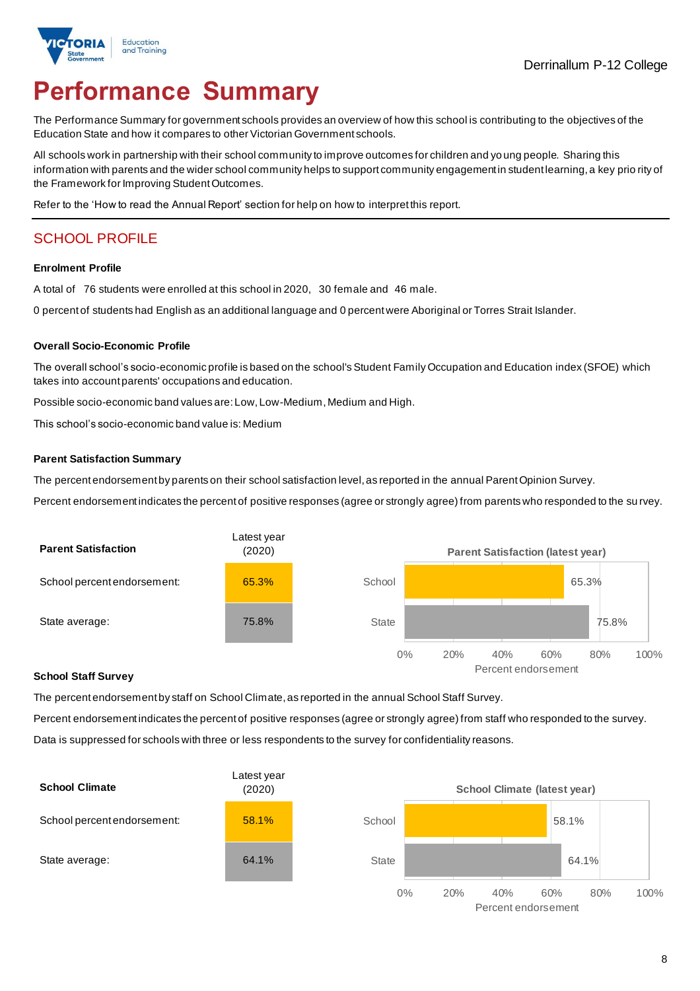

# **Performance Summary**

The Performance Summary for government schools provides an overview of how this school is contributing to the objectives of the Education State and how it compares to other Victorian Government schools.

All schools work in partnership with their school community to improve outcomes for children and yo ung people. Sharing this information with parents and the wider school community helps to support community engagement in student learning, a key prio rity of the Framework for Improving Student Outcomes.

Refer to the 'How to read the Annual Report' section for help on how to interpret this report.

## SCHOOL PROFILE

#### **Enrolment Profile**

A total of 76 students were enrolled at this school in 2020, 30 female and 46 male.

0 percent of students had English as an additional language and 0 percent were Aboriginal or Torres Strait Islander.

#### **Overall Socio-Economic Profile**

The overall school's socio-economic profile is based on the school's Student Family Occupation and Education index (SFOE) which takes into account parents' occupations and education.

Possible socio-economic band values are: Low, Low-Medium, Medium and High.

This school's socio-economic band value is: Medium

#### **Parent Satisfaction Summary**

The percent endorsement by parents on their school satisfaction level, as reported in the annual Parent Opinion Survey.

Percent endorsement indicates the percent of positive responses (agree or strongly agree) from parents who responded to the su rvey.



#### **School Staff Survey**

The percent endorsement by staff on School Climate, as reported in the annual School Staff Survey.

Percent endorsement indicates the percent of positive responses (agree or strongly agree) from staff who responded to the survey. Data is suppressed for schools with three or less respondents to the survey for confidentiality reasons.



Percent endorsement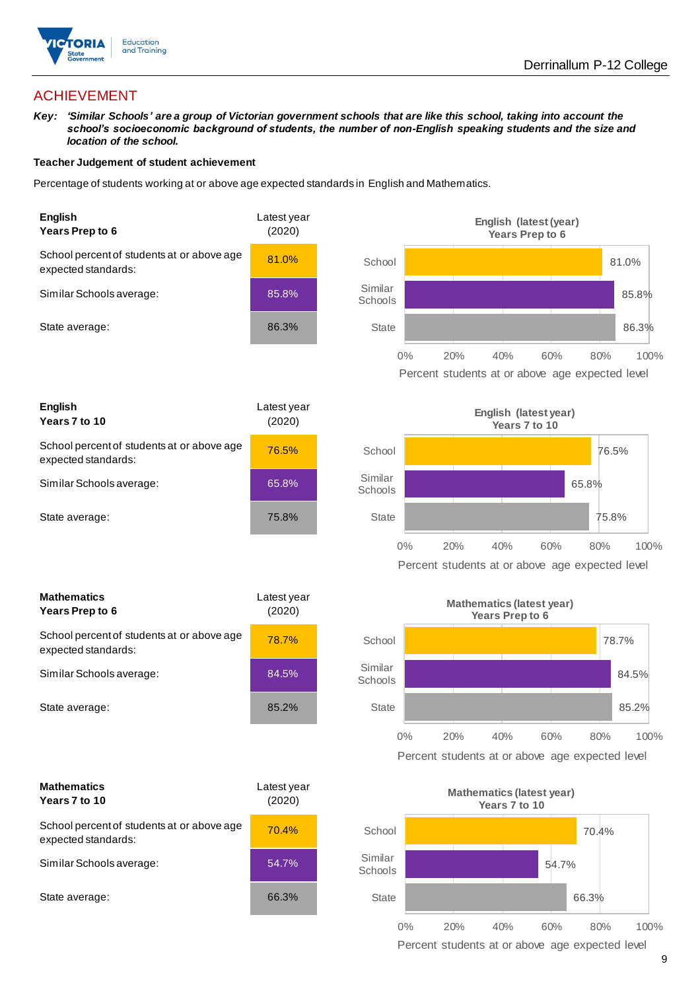

## ACHIEVEMENT

*Key: 'Similar Schools' are a group of Victorian government schools that are like this school, taking into account the school's socioeconomic background of students, the number of non-English speaking students and the size and location of the school.*

#### **Teacher Judgement of student achievement**

Percentage of students working at or above age expected standards in English and Mathematics.



| <b>English</b><br>Years 7 to 10                                   | Latest year<br>(2020) |
|-------------------------------------------------------------------|-----------------------|
| School percent of students at or above age<br>expected standards: | 76.5%                 |
| Similar Schools average:                                          | 65.8%                 |
| State average:                                                    | 75.8%                 |

| <b>Mathematics</b><br>Years Prep to 6                             | Latest year<br>(2020) |  |
|-------------------------------------------------------------------|-----------------------|--|
| School percent of students at or above age<br>expected standards: | 78.7%                 |  |
| Similar Schools average:                                          | 84.5%                 |  |
| State average:                                                    | 85.2%                 |  |

| <b>Mathematics</b><br>Years 7 to 10                               | Latest year<br>(2020) |  |
|-------------------------------------------------------------------|-----------------------|--|
| School percent of students at or above age<br>expected standards: | 70.4%                 |  |
| Similar Schools average:                                          | 54.7%                 |  |
| State average:                                                    | 66.3%                 |  |







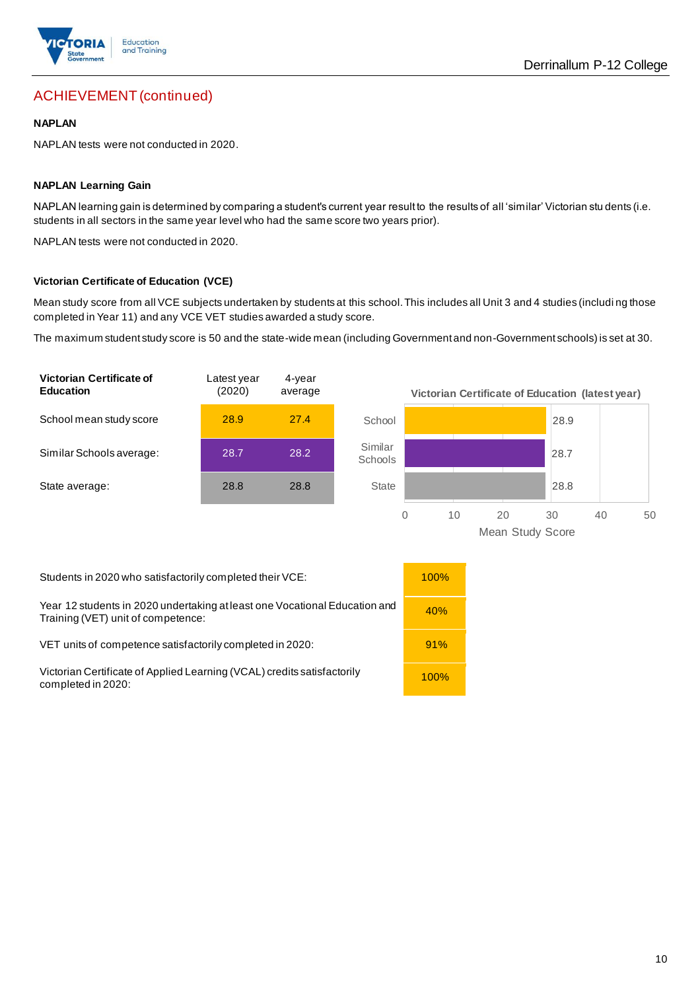

## ACHIEVEMENT (continued)

#### **NAPLAN**

NAPLAN tests were not conducted in 2020.

#### **NAPLAN Learning Gain**

NAPLAN learning gain is determined by comparing a student's current year result to the results of all 'similar' Victorian stu dents (i.e. students in all sectors in the same year level who had the same score two years prior).

NAPLAN tests were not conducted in 2020.

#### **Victorian Certificate of Education (VCE)**

Mean study score from all VCE subjects undertaken by students at this school. This includes all Unit 3 and 4 studies (includi ng those completed in Year 11) and any VCE VET studies awarded a study score.

The maximum student study score is 50 and the state-wide mean (including Government and non-Government schools) is set at 30.





Students in 2020 who satisfactorily completed their VCE: 100%

Year 12 students in 2020 undertaking at least one Vocational Education and Training (VET) unit of competence:<br>Training (VET) unit of competence:

VET units of competence satisfactorily completed in 2020: 91%

Victorian Certificate of Applied Learning (VCAL) credits satisfactorily **100%** to the completed in 2020:

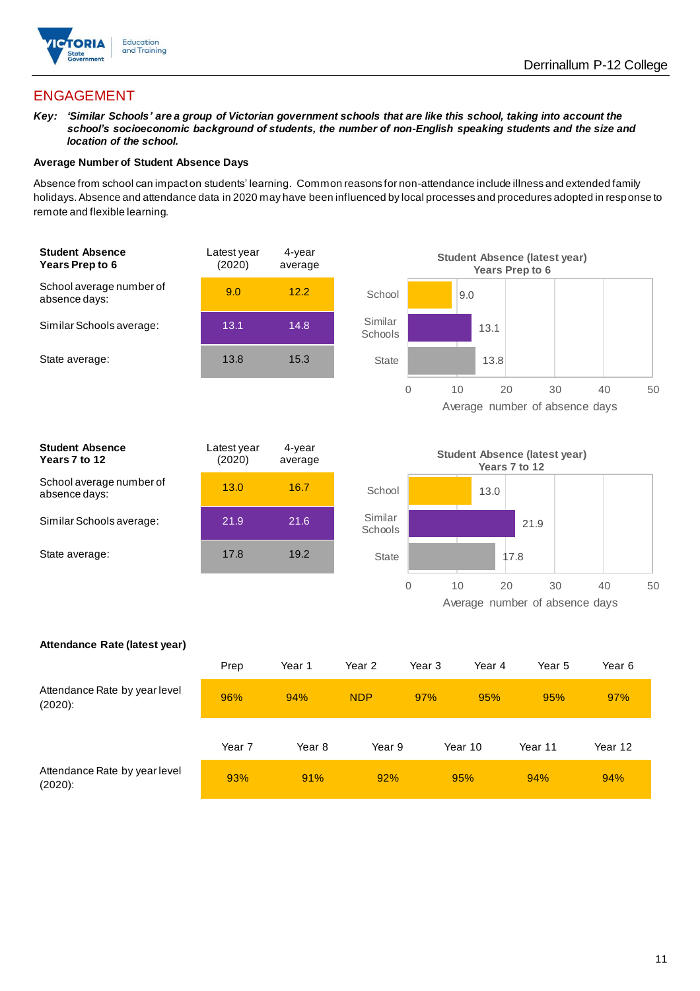

## ENGAGEMENT

*Key: 'Similar Schools' are a group of Victorian government schools that are like this school, taking into account the school's socioeconomic background of students, the number of non-English speaking students and the size and location of the school.*

#### **Average Number of Student Absence Days**

Absence from school can impact on students' learning. Common reasons for non-attendance include illness and extended family holidays.Absence and attendance data in 2020 may have been influenced by local processes and procedures adopted in response to remote and flexible learning.



| <b>Student Absence</b><br>Years 7 to 12   | Latest year<br>(2020) | 4-year<br>average |
|-------------------------------------------|-----------------------|-------------------|
| School average number of<br>absence days: | 13.0                  | 16.7              |
| Similar Schools average:                  | 21.9                  | 21.6              |
| State average:                            | 17.8                  | 19.2              |
|                                           |                       |                   |



#### **Attendance Rate (latest year)**

|                                             | Prep   | Year 1 | Year 2     | Year 3 | Year 4  | Year 5  | Year 6  |
|---------------------------------------------|--------|--------|------------|--------|---------|---------|---------|
| Attendance Rate by year level<br>$(2020)$ : | 96%    | 94%    | <b>NDP</b> | 97%    | 95%     | 95%     | 97%     |
|                                             | Year 7 | Year 8 | Year 9     |        | Year 10 | Year 11 | Year 12 |
| Attendance Rate by year level<br>$(2020)$ : | 93%    | 91%    | 92%        |        | 95%     | 94%     | 94%     |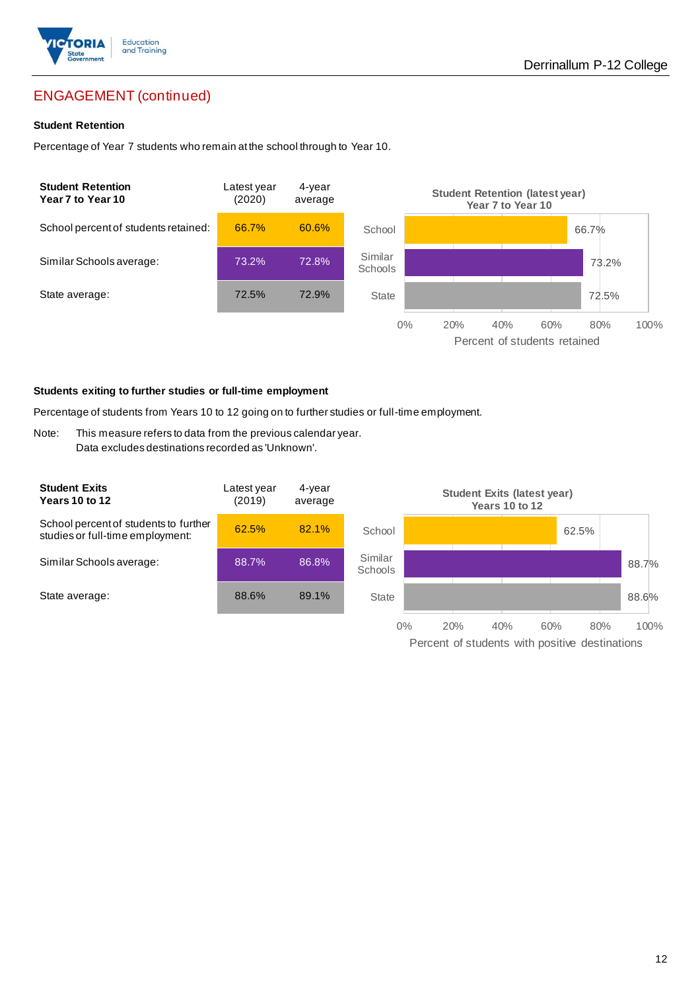

## ENGAGEMENT (continued)

#### **Student Retention**

Percentage of Year 7 students who remain at the school through to Year 10.



#### **Students exiting to further studies or full-time employment**

Percentage of students from Years 10 to 12 going on to further studies or full-time employment.

Note: This measure refers to data from the previous calendar year. Data excludes destinations recorded as 'Unknown'.

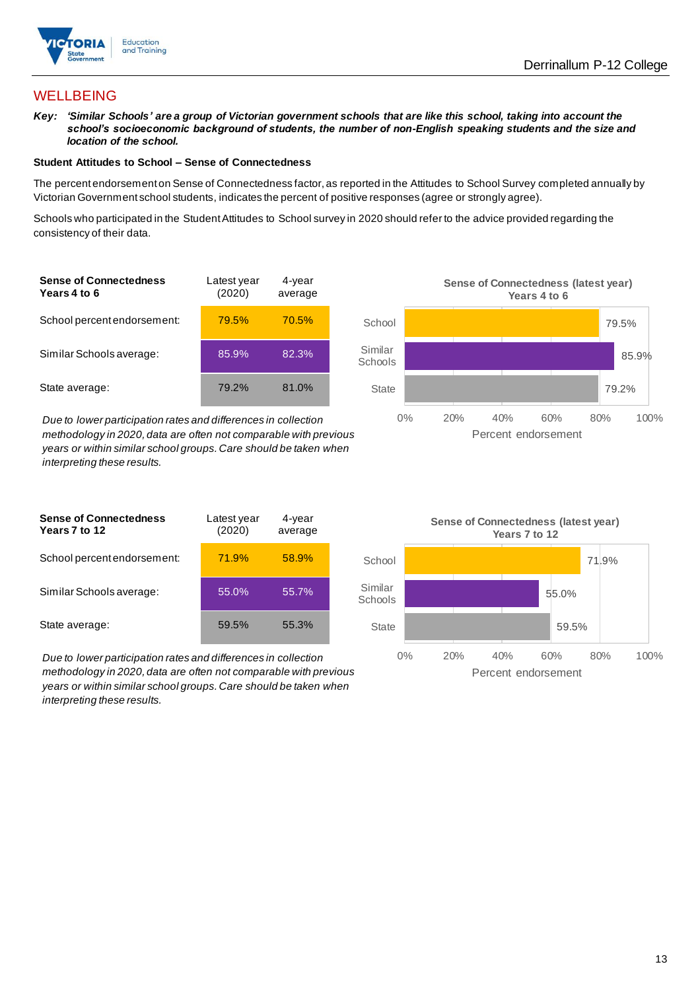

## WELLBEING

*Key: 'Similar Schools' are a group of Victorian government schools that are like this school, taking into account the school's socioeconomic background of students, the number of non-English speaking students and the size and location of the school.*

#### **Student Attitudes to School – Sense of Connectedness**

The percent endorsement on Sense of Connectedness factor, as reported in the Attitudes to School Survey completed annually by Victorian Government school students, indicates the percent of positive responses (agree or strongly agree).

Schools who participated in the Student Attitudes to School survey in 2020 should refer to the advice provided regarding the consistency of their data.

| <b>Sense of Connectedness</b><br>Years 4 to 6 | Latest year<br>(2020) | 4-year<br>average |  |
|-----------------------------------------------|-----------------------|-------------------|--|
| School percent endorsement:                   | 79.5%                 | 70.5%             |  |
| Similar Schools average:                      | 85.9%                 | 82.3%             |  |
| State average:                                | 79.2%                 | 81.0%             |  |

*Due to lower participation rates and differences in collection methodology in 2020, data are often not comparable with previous years or within similar school groups. Care should be taken when interpreting these results.*

| <b>Sense of Connectedness</b><br>Years 7 to 12 | Latest year<br>(2020) | 4-year<br>average |  |
|------------------------------------------------|-----------------------|-------------------|--|
| School percent endorsement:                    | 71.9%                 | 58.9%             |  |
| Similar Schools average:                       | 55.0%                 | 55.7%             |  |
| State average:                                 | 59.5%                 | 55.3%             |  |

*Due to lower participation rates and differences in collection methodology in 2020, data are often not comparable with previous years or within similar school groups. Care should be taken when interpreting these results.*



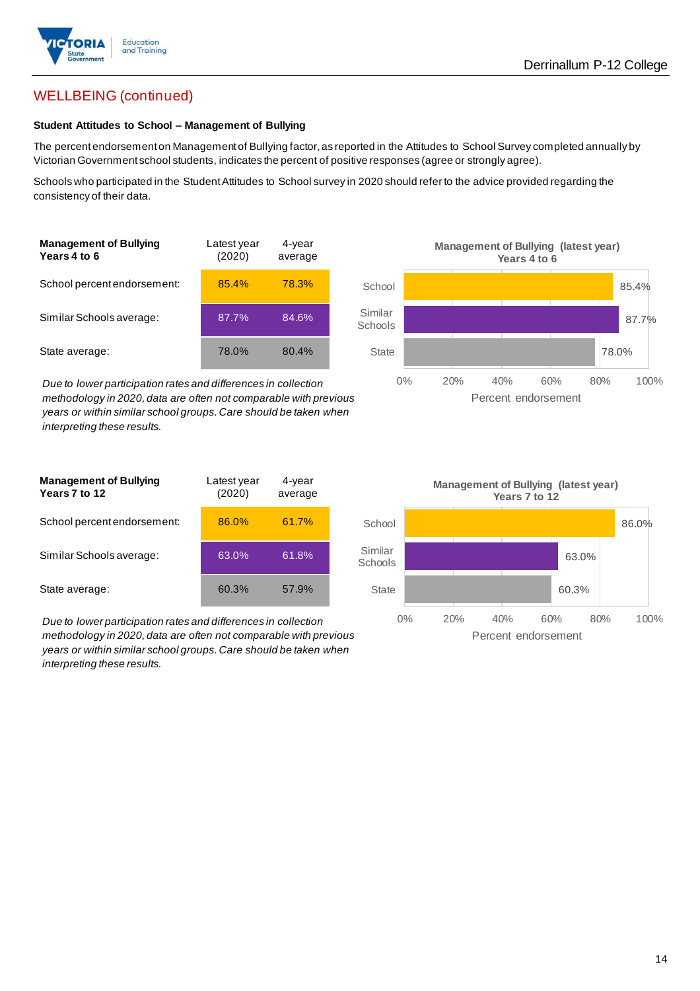

## WELLBEING (continued)

#### **Student Attitudes to School – Management of Bullying**

The percent endorsement on Management of Bullying factor, as reported in the Attitudes to School Survey completed annually by Victorian Government school students, indicates the percent of positive responses (agree or strongly agree).

Schools who participated in the Student Attitudes to School survey in 2020 should refer to the advice provided regarding the consistency of their data.

| <b>Management of Bullying</b><br>Years 4 to 6 | Latest year<br>(2020) | 4-year<br>average |  |
|-----------------------------------------------|-----------------------|-------------------|--|
| School percent endorsement:                   | 85.4%                 | 78.3%             |  |
| Similar Schools average:                      | 87.7%                 | 84.6%             |  |
| State average:                                | 78.0%                 | 80.4%             |  |

*Due to lower participation rates and differences in collection methodology in 2020, data are often not comparable with previous years or within similar school groups. Care should be taken when interpreting these results.*



| <b>Management of Bullying</b><br>Years 7 to 12 | Latest year<br>(2020) | 4-year<br>average |  |
|------------------------------------------------|-----------------------|-------------------|--|
| School percent endorsement:                    | 86.0%                 | 61.7%             |  |
| Similar Schools average:                       | 63.0%                 | 61.8%             |  |
| State average:                                 | 60.3%                 | 57.9%             |  |

*Due to lower participation rates and differences in collection methodology in 2020, data are often not comparable with previous years or within similar school groups. Care should be taken when interpreting these results.*

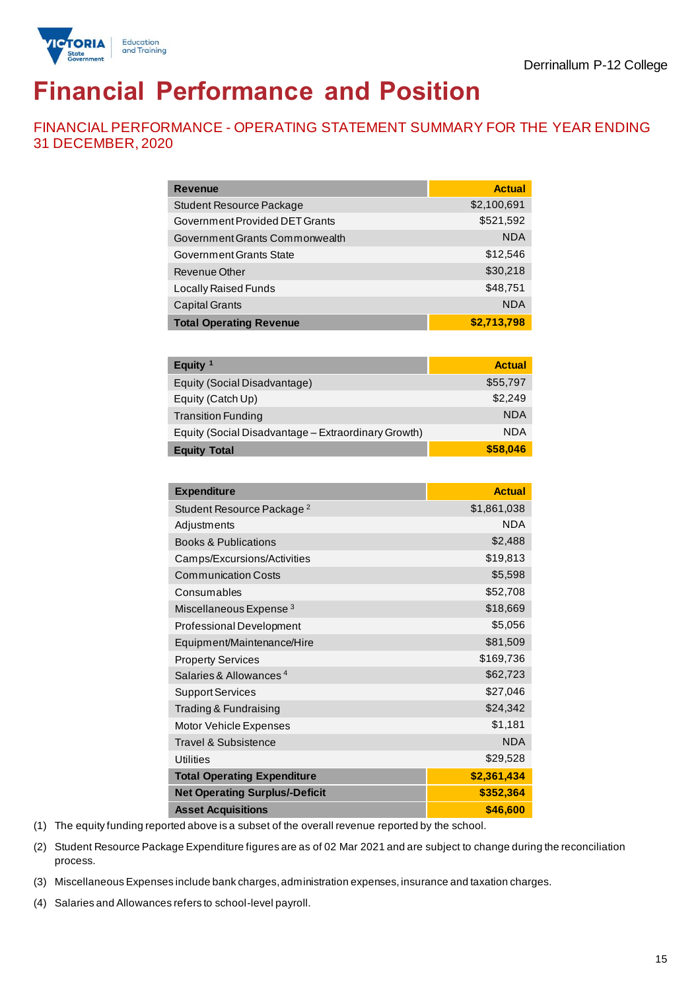

# **Financial Performance and Position**

FINANCIAL PERFORMANCE - OPERATING STATEMENT SUMMARY FOR THE YEAR ENDING 31 DECEMBER, 2020

| Revenue                         | <b>Actual</b> |
|---------------------------------|---------------|
| <b>Student Resource Package</b> | \$2,100,691   |
| Government Provided DET Grants  | \$521,592     |
| Government Grants Commonwealth  | <b>NDA</b>    |
| Government Grants State         | \$12,546      |
| Revenue Other                   | \$30,218      |
| Locally Raised Funds            | \$48,751      |
| <b>Capital Grants</b>           | <b>NDA</b>    |
| <b>Total Operating Revenue</b>  | \$2,713,798   |
|                                 |               |
| Equity $1$                      | <b>Actual</b> |
| Equity (Social Disadvantage)    | \$55,797      |

| <b>Equity Total</b>                                 | \$58,046   |
|-----------------------------------------------------|------------|
| Equity (Social Disadvantage - Extraordinary Growth) | <b>NDA</b> |
| <b>Transition Funding</b>                           | <b>NDA</b> |
| Equity (Catch Up)                                   | \$2.249    |
| Equity (Social Disadvantage)                        | \$55,797   |

| <b>Expenditure</b>                    | <b>Actual</b> |
|---------------------------------------|---------------|
| Student Resource Package <sup>2</sup> | \$1,861,038   |
| Adjustments                           | <b>NDA</b>    |
| <b>Books &amp; Publications</b>       | \$2,488       |
| Camps/Excursions/Activities           | \$19,813      |
| <b>Communication Costs</b>            | \$5,598       |
| Consumables                           | \$52,708      |
| Miscellaneous Expense <sup>3</sup>    | \$18,669      |
| <b>Professional Development</b>       | \$5,056       |
| Equipment/Maintenance/Hire            | \$81,509      |
| <b>Property Services</b>              | \$169,736     |
| Salaries & Allowances <sup>4</sup>    | \$62,723      |
| <b>Support Services</b>               | \$27,046      |
| Trading & Fundraising                 | \$24,342      |
| Motor Vehicle Expenses                | \$1,181       |
| <b>Travel &amp; Subsistence</b>       | <b>NDA</b>    |
| Utilities                             | \$29,528      |
| <b>Total Operating Expenditure</b>    | \$2,361,434   |
| <b>Net Operating Surplus/-Deficit</b> | \$352,364     |
| <b>Asset Acquisitions</b>             | \$46,600      |

(1) The equity funding reported above is a subset of the overall revenue reported by the school.

(2) Student Resource Package Expenditure figures are as of 02 Mar 2021 and are subject to change during the reconciliation process.

(3) Miscellaneous Expenses include bank charges, administration expenses, insurance and taxation charges.

(4) Salaries and Allowances refers to school-level payroll.